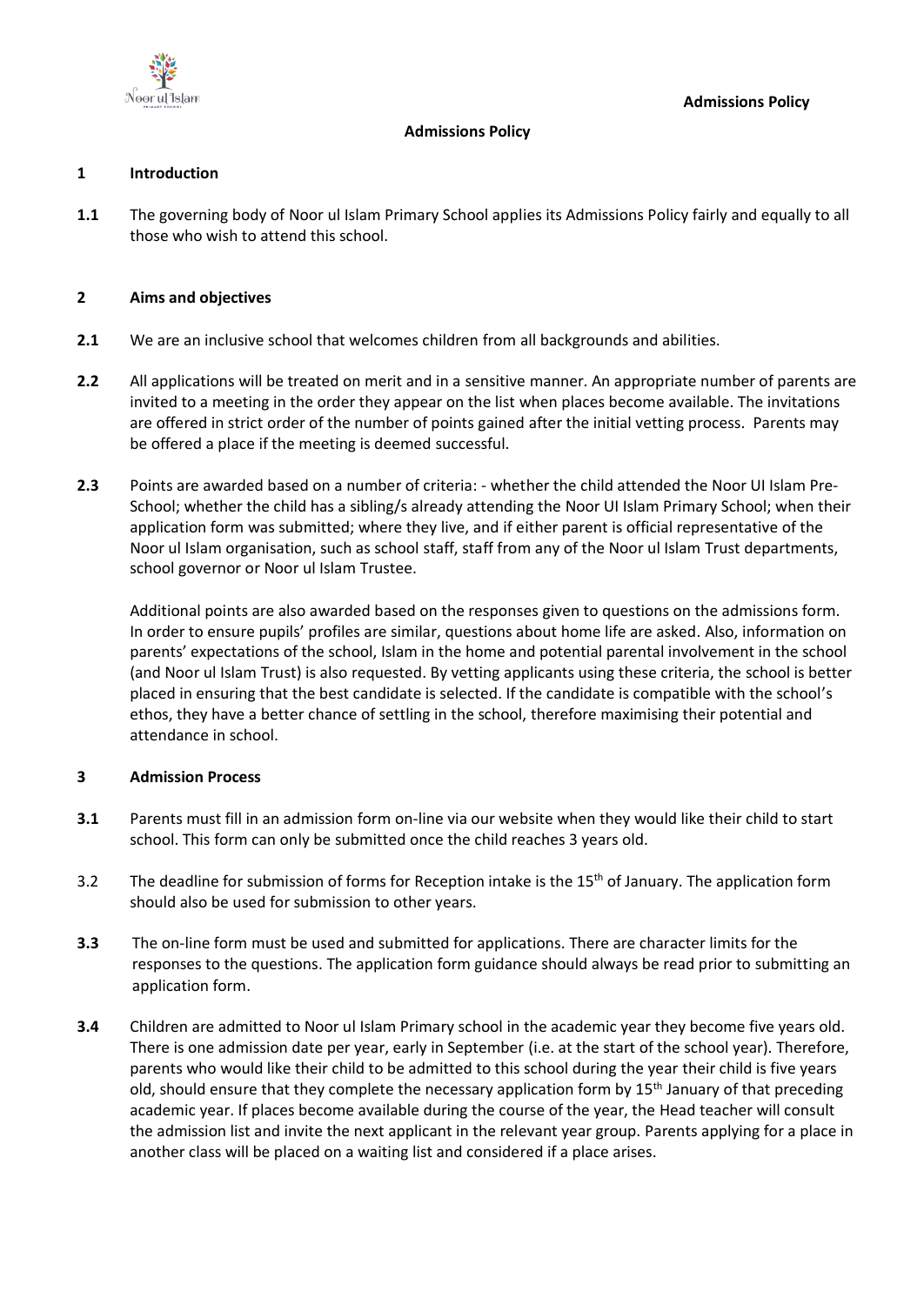

## **Admissions Policy**

## **1 Introduction**

**1.1** The governing body of Noor ul Islam Primary School applies its Admissions Policy fairly and equally to all those who wish to attend this school.

## **2 Aims and objectives**

- **2.1** We are an inclusive school that welcomes children from all backgrounds and abilities.
- **2.2** All applications will be treated on merit and in a sensitive manner. An appropriate number of parents are invited to a meeting in the order they appear on the list when places become available. The invitations are offered in strict order of the number of points gained after the initial vetting process. Parents may be offered a place if the meeting is deemed successful.
- **2.3** Points are awarded based on a number of criteria: whether the child attended the Noor UI Islam Pre-School; whether the child has a sibling/s already attending the Noor UI Islam Primary School; when their application form was submitted; where they live, and if either parent is official representative of the Noor ul Islam organisation, such as school staff, staff from any of the Noor ul Islam Trust departments, school governor or Noor ul Islam Trustee.

Additional points are also awarded based on the responses given to questions on the admissions form. In order to ensure pupils' profiles are similar, questions about home life are asked. Also, information on parents' expectations of the school, Islam in the home and potential parental involvement in the school (and Noor ul Islam Trust) is also requested. By vetting applicants using these criteria, the school is better placed in ensuring that the best candidate is selected. If the candidate is compatible with the school's ethos, they have a better chance of settling in the school, therefore maximising their potential and attendance in school.

# **3 Admission Process**

- **3.1** Parents must fill in an admission form on-line via our website when they would like their child to start school. This form can only be submitted once the child reaches 3 years old.
- 3.2 The deadline for submission of forms for Reception intake is the 15<sup>th</sup> of January. The application form should also be used for submission to other years.
- **3.3** The on-line form must be used and submitted for applications. There are character limits for the responses to the questions. The application form guidance should always be read prior to submitting an application form.
- **3.4** Children are admitted to Noor ul Islam Primary school in the academic year they become five years old. There is one admission date per year, early in September (i.e. at the start of the school year). Therefore, parents who would like their child to be admitted to this school during the year their child is five years old, should ensure that they complete the necessary application form by 15<sup>th</sup> January of that preceding academic year. If places become available during the course of the year, the Head teacher will consult the admission list and invite the next applicant in the relevant year group. Parents applying for a place in another class will be placed on a waiting list and considered if a place arises.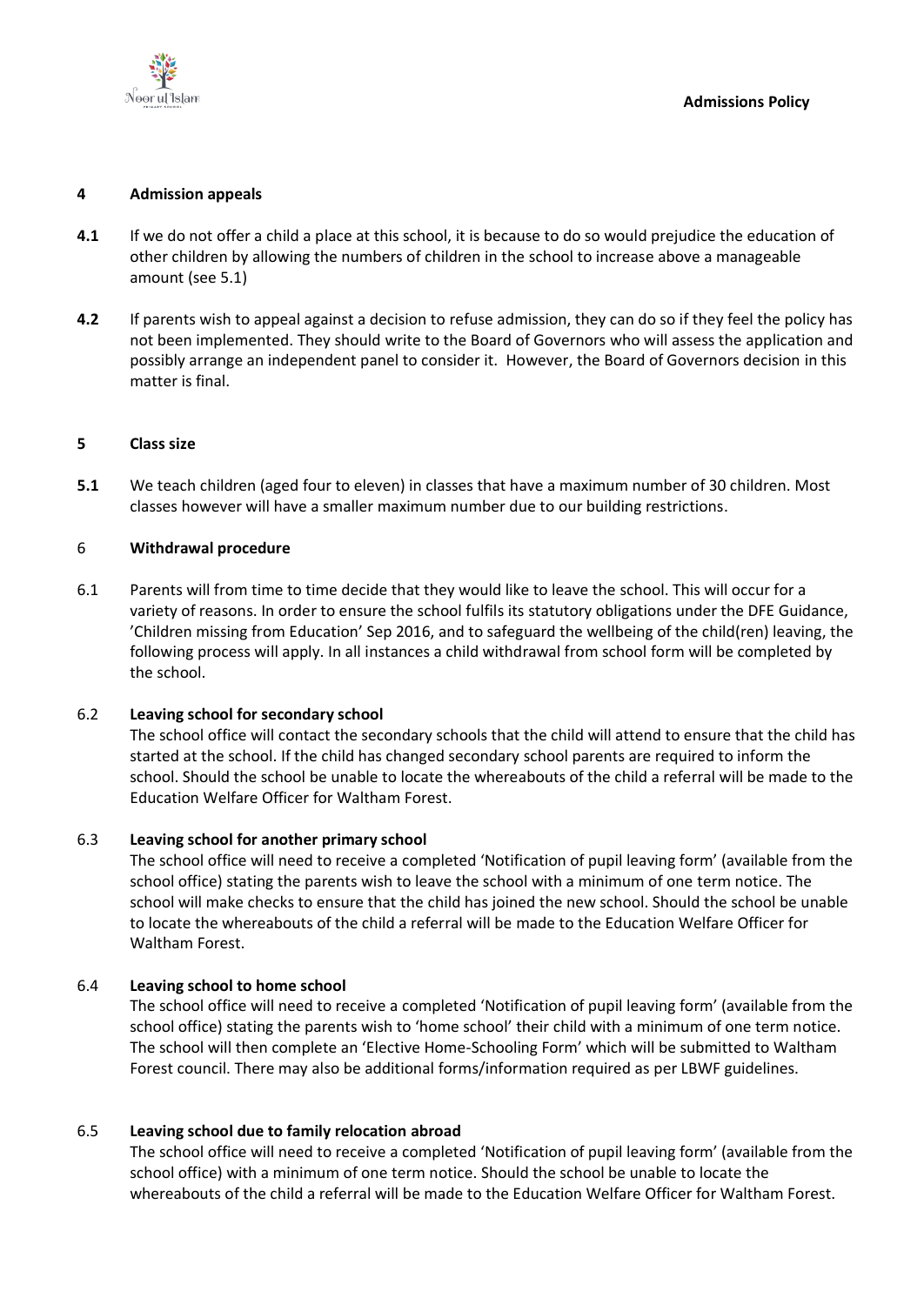

### **4 Admission appeals**

- **4.1** If we do not offer a child a place at this school, it is because to do so would prejudice the education of other children by allowing the numbers of children in the school to increase above a manageable amount (see 5.1)
- **4.2** If parents wish to appeal against a decision to refuse admission, they can do so if they feel the policy has not been implemented. They should write to the Board of Governors who will assess the application and possibly arrange an independent panel to consider it. However, the Board of Governors decision in this matter is final.

### **5 Class size**

**5.1** We teach children (aged four to eleven) in classes that have a maximum number of 30 children. Most classes however will have a smaller maximum number due to our building restrictions.

#### 6 **Withdrawal procedure**

6.1 Parents will from time to time decide that they would like to leave the school. This will occur for a variety of reasons. In order to ensure the school fulfils its statutory obligations under the DFE Guidance, 'Children missing from Education' Sep 2016, and to safeguard the wellbeing of the child(ren) leaving, the following process will apply. In all instances a child withdrawal from school form will be completed by the school.

### 6.2 **Leaving school for secondary school**

The school office will contact the secondary schools that the child will attend to ensure that the child has started at the school. If the child has changed secondary school parents are required to inform the school. Should the school be unable to locate the whereabouts of the child a referral will be made to the Education Welfare Officer for Waltham Forest.

### 6.3 **Leaving school for another primary school**

The school office will need to receive a completed 'Notification of pupil leaving form' (available from the school office) stating the parents wish to leave the school with a minimum of one term notice. The school will make checks to ensure that the child has joined the new school. Should the school be unable to locate the whereabouts of the child a referral will be made to the Education Welfare Officer for Waltham Forest.

### 6.4 **Leaving school to home school**

The school office will need to receive a completed 'Notification of pupil leaving form' (available from the school office) stating the parents wish to 'home school' their child with a minimum of one term notice. The school will then complete an 'Elective Home-Schooling Form' which will be submitted to Waltham Forest council. There may also be additional forms/information required as per LBWF guidelines.

### 6.5 **Leaving school due to family relocation abroad**

The school office will need to receive a completed 'Notification of pupil leaving form' (available from the school office) with a minimum of one term notice. Should the school be unable to locate the whereabouts of the child a referral will be made to the Education Welfare Officer for Waltham Forest.